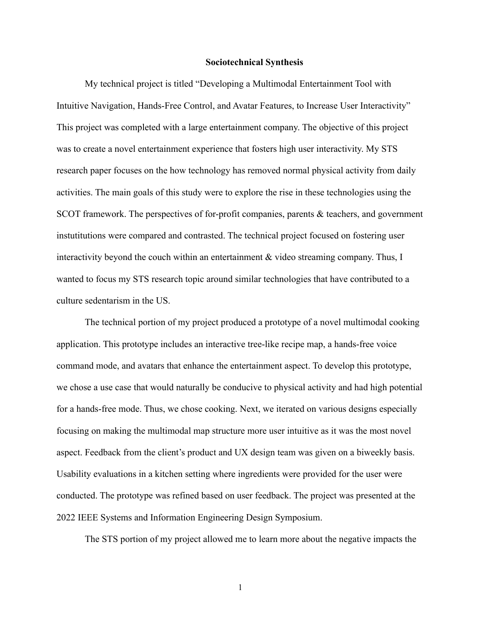## **Sociotechnical Synthesis**

My technical project is titled "Developing a Multimodal Entertainment Tool with Intuitive Navigation, Hands-Free Control, and Avatar Features, to Increase User Interactivity" This project was completed with a large entertainment company. The objective of this project was to create a novel entertainment experience that fosters high user interactivity. My STS research paper focuses on the how technology has removed normal physical activity from daily activities. The main goals of this study were to explore the rise in these technologies using the SCOT framework. The perspectives of for-profit companies, parents & teachers, and government instutitutions were compared and contrasted. The technical project focused on fostering user interactivity beyond the couch within an entertainment & video streaming company. Thus, I wanted to focus my STS research topic around similar technologies that have contributed to a culture sedentarism in the US.

The technical portion of my project produced a prototype of a novel multimodal cooking application. This prototype includes an interactive tree-like recipe map, a hands-free voice command mode, and avatars that enhance the entertainment aspect. To develop this prototype, we chose a use case that would naturally be conducive to physical activity and had high potential for a hands-free mode. Thus, we chose cooking. Next, we iterated on various designs especially focusing on making the multimodal map structure more user intuitive as it was the most novel aspect. Feedback from the client's product and UX design team was given on a biweekly basis. Usability evaluations in a kitchen setting where ingredients were provided for the user were conducted. The prototype was refined based on user feedback. The project was presented at the 2022 IEEE Systems and Information Engineering Design Symposium.

The STS portion of my project allowed me to learn more about the negative impacts the

1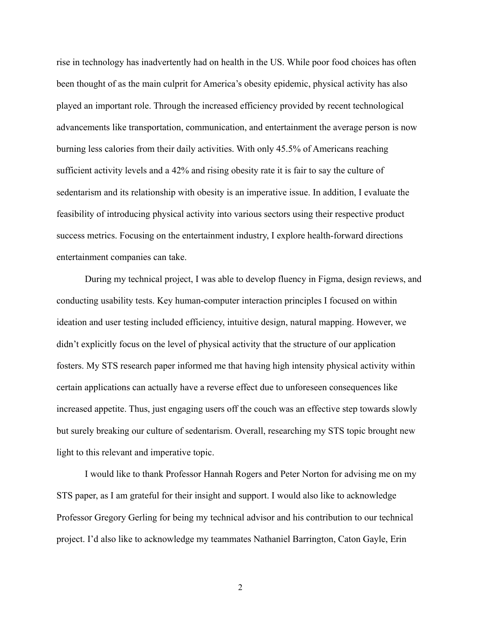rise in technology has inadvertently had on health in the US. While poor food choices has often been thought of as the main culprit for America's obesity epidemic, physical activity has also played an important role. Through the increased efficiency provided by recent technological advancements like transportation, communication, and entertainment the average person is now burning less calories from their daily activities. With only 45.5% of Americans reaching sufficient activity levels and a 42% and rising obesity rate it is fair to say the culture of sedentarism and its relationship with obesity is an imperative issue. In addition, I evaluate the feasibility of introducing physical activity into various sectors using their respective product success metrics. Focusing on the entertainment industry, I explore health-forward directions entertainment companies can take.

During my technical project, I was able to develop fluency in Figma, design reviews, and conducting usability tests. Key human-computer interaction principles I focused on within ideation and user testing included efficiency, intuitive design, natural mapping. However, we didn't explicitly focus on the level of physical activity that the structure of our application fosters. My STS research paper informed me that having high intensity physical activity within certain applications can actually have a reverse effect due to unforeseen consequences like increased appetite. Thus, just engaging users off the couch was an effective step towards slowly but surely breaking our culture of sedentarism. Overall, researching my STS topic brought new light to this relevant and imperative topic.

I would like to thank Professor Hannah Rogers and Peter Norton for advising me on my STS paper, as I am grateful for their insight and support. I would also like to acknowledge Professor Gregory Gerling for being my technical advisor and his contribution to our technical project. I'd also like to acknowledge my teammates Nathaniel Barrington, Caton Gayle, Erin

2